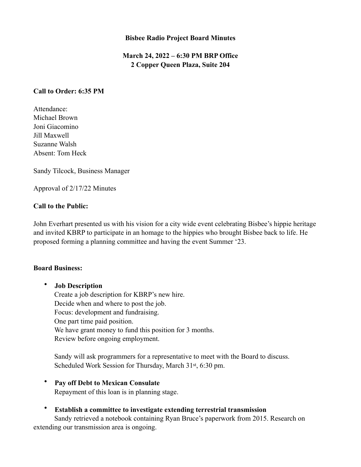#### **Bisbee Radio Project Board Minutes**

# **March 24, 2022 – 6:30 PM BRP Office 2 Copper Queen Plaza, Suite 204**

#### **Call to Order: 6:35 PM**

Attendance: Michael Brown Joni Giacomino Jill Maxwell Suzanne Walsh Absent: Tom Heck

Sandy Tilcock, Business Manager

Approval of 2/17/22 Minutes

### **Call to the Public:**

John Everhart presented us with his vision for a city wide event celebrating Bisbee's hippie heritage and invited KBRP to participate in an homage to the hippies who brought Bisbee back to life. He proposed forming a planning committee and having the event Summer '23.

#### **Board Business:**

• **Job Description** Create a job description for KBRP's new hire. Decide when and where to post the job. Focus: development and fundraising. One part time paid position. We have grant money to fund this position for 3 months. Review before ongoing employment.

Sandy will ask programmers for a representative to meet with the Board to discuss. Scheduled Work Session for Thursday, March 31st, 6:30 pm.

- **Pay off Debt to Mexican Consulate** Repayment of this loan is in planning stage.
- **Establish a committee to investigate extending terrestrial transmission** Sandy retrieved a notebook containing Ryan Bruce's paperwork from 2015. Research on extending our transmission area is ongoing.